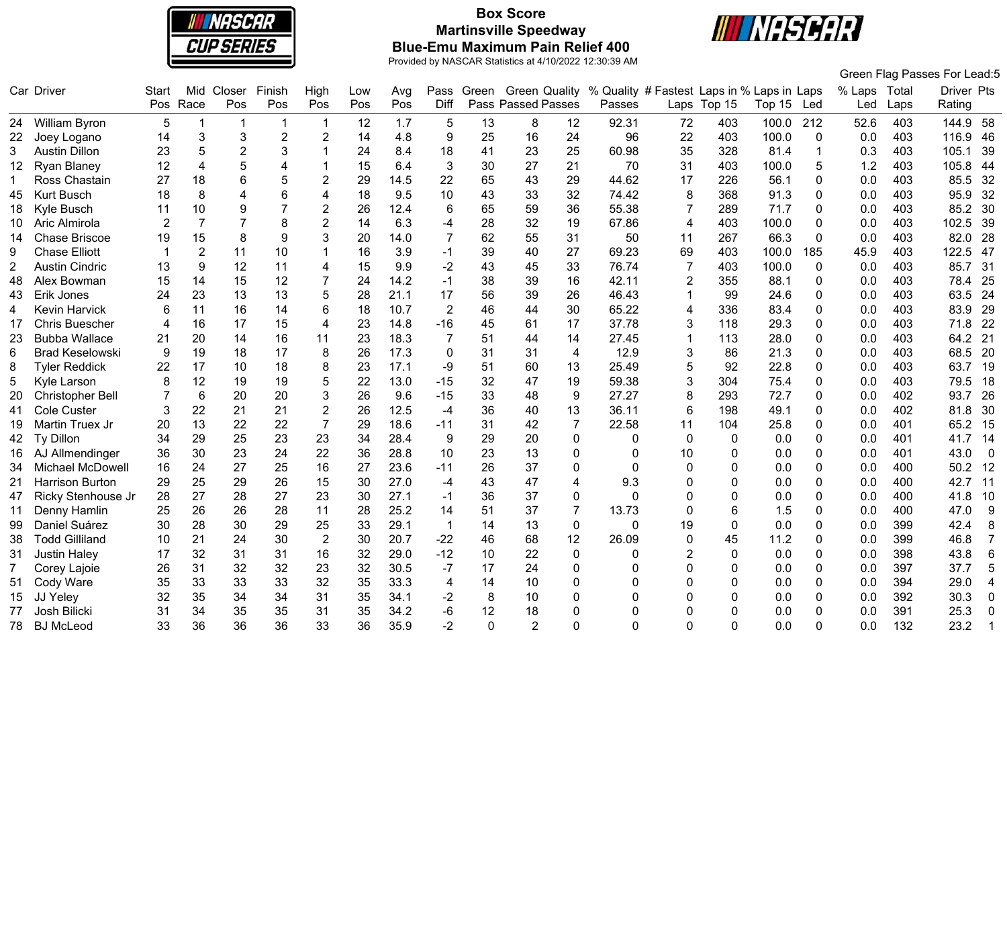

# **Box Score Martinsville Speedway Blue-Emu Maximum Pain Relief 400**



|     |                         |                |                |                         |                |                |     |      |                |          |                           |                |                                            |                |              |        |              |              |      | Green Flag Passes For Lead:5    |
|-----|-------------------------|----------------|----------------|-------------------------|----------------|----------------|-----|------|----------------|----------|---------------------------|----------------|--------------------------------------------|----------------|--------------|--------|--------------|--------------|------|---------------------------------|
|     | Car Driver              | Start          | Mid            | Closer                  | Finish         | High           | Low | Avg  | Pass           | Green    | <b>Green Quality</b>      |                | % Quality # Fastest Laps in % Laps in Laps |                |              |        |              | % Laps Total |      | Driver Pts                      |
|     |                         |                | Pos Race       | Pos                     | Pos            | Pos            | Pos | Pos  | Diff           |          | <b>Pass Passed Passes</b> |                | Passes                                     |                | Laps Top 15  | Top 15 | Led          | Led          | Laps | Rating                          |
|     | 24 William Byron        | 5              |                | $\overline{\mathbf{1}}$ |                | 1              | 12  | 1.7  | 5              | 13       | 8                         | 12             | 92.31                                      | 72             | 403          | 100.0  | 212          | 52.6         | 403  | 144.9<br>- 58                   |
| 22. | Joey Logano             | 14             | 3              | $\mathbf{3}$            | $\overline{2}$ | $\overline{2}$ | 14  | 4.8  | 9              | 25       | 16                        | 24             | 96                                         | 22             | 403          | 100.0  | 0            | 0.0          | 403  | 116.9<br>-46                    |
| 3   | <b>Austin Dillon</b>    | 23             | 5              | $\overline{2}$          | 3              | 1              | 24  | 8.4  | 18             | 41       | 23                        | 25             | 60.98                                      | 35             | 328          | 81.4   |              | 0.3          | 403  | 105.1<br>39                     |
| 12  | <b>Ryan Blaney</b>      | 12             | $\overline{4}$ | $\overline{5}$          | 4              | $\mathbf{1}$   | 15  | 6.4  | 3              | 30       | 27                        | 21             | 70                                         | 31             | 403          | 100.0  | 5            | 1.2          | 403  | 105.8<br>44                     |
|     | Ross Chastain           | 27             | 18             | 6                       | 5              | $\overline{2}$ | 29  | 14.5 | 22             | 65       | 43                        | 29             | 44.62                                      | 17             | 226          | 56.1   | $\Omega$     | 0.0          | 403  | 85.5<br>32                      |
| 45  | <b>Kurt Busch</b>       | 18             | 8              | 4                       | 6              | $\overline{4}$ | 18  | 9.5  | 10             | 43       | 33                        | 32             | 74.42                                      | 8              | 368          | 91.3   | 0            | 0.0          | 403  | 95.9<br>32                      |
| 18  | Kyle Busch              | 11             | 10             | 9                       | $\overline{7}$ | $\overline{2}$ | 26  | 12.4 | 6              | 65       | 59                        | 36             | 55.38                                      | $\overline{7}$ | 289          | 71.7   | 0            | 0.0          | 403  | 85.2<br>30                      |
| 10  | Aric Almirola           | $\overline{2}$ | $\overline{7}$ | $\overline{7}$          | 8              | $\overline{2}$ | 14  | 6.3  | -4             | 28       | 32                        | 19             | 67.86                                      | $\overline{4}$ | 403          | 100.0  | 0            | 0.0          | 403  | 102.5<br>39                     |
| 14  | <b>Chase Briscoe</b>    | 19             | 15             | 8                       | 9              | 3              | 20  | 14.0 | 7              | 62       | 55                        | 31             | 50                                         | 11             | 267          | 66.3   | $\mathbf{0}$ | 0.0          | 403  | 82.0<br>28                      |
| 9   | <b>Chase Elliott</b>    |                | $\overline{2}$ | 11                      | 10             |                | 16  | 3.9  | $-1$           | 39       | 40                        | 27             | 69.23                                      | 69             | 403          | 100.0  | 185          | 45.9         | 403  | 122.5<br>47                     |
| 2   | <b>Austin Cindric</b>   | 13             | 9              | 12                      | 11             | 4              | 15  | 9.9  | $-2$           | 43       | 45                        | 33             | 76.74                                      | 7              | 403          | 100.0  | 0            | 0.0          | 403  | 85.7<br>31                      |
| 48  | Alex Bowman             | 15             | 14             | 15                      | 12             | $\overline{7}$ | 24  | 14.2 | $-1$           | 38       | 39                        | 16             | 42.11                                      | $\overline{2}$ | 355          | 88.1   | 0            | 0.0          | 403  | 78.4<br>25                      |
| 43  | Erik Jones              | 24             | 23             | 13                      | 13             | 5              | 28  | 21.1 | 17             | 56       | 39                        | 26             | 46.43                                      | $\mathbf 1$    | 99           | 24.6   | 0            | 0.0          | 403  | 63.5<br>24                      |
| 4   | Kevin Harvick           | 6              | 11             | 16                      | 14             | 6              | 18  | 10.7 | $\overline{2}$ | 46       | 44                        | 30             | 65.22                                      | 4              | 336          | 83.4   | 0            | 0.0          | 403  | 83.9<br>29                      |
| 17  | <b>Chris Buescher</b>   | $\overline{4}$ | 16             | 17                      | 15             | $\overline{4}$ | 23  | 14.8 | $-16$          | 45       | 61                        | 17             | 37.78                                      | 3              | 118          | 29.3   | 0            | 0.0          | 403  | 22<br>71.8                      |
| 23  | <b>Bubba Wallace</b>    | 21             | 20             | 14                      | 16             | 11             | 23  | 18.3 | 7              | 51       | 44                        | 14             | 27.45                                      | $\mathbf{1}$   | 113          | 28.0   | 0            | 0.0          | 403  | 64.2<br>21                      |
| 6   | <b>Brad Keselowski</b>  | 9              | 19             | 18                      | 17             | 8              | 26  | 17.3 | $\mathbf 0$    | 31       | 31                        | $\overline{4}$ | 12.9                                       | 3              | 86           | 21.3   | 0            | 0.0          | 403  | 68.5<br>20                      |
| 8   | <b>Tyler Reddick</b>    | 22             | 17             | 10                      | 18             | 8              | 23  | 17.1 | -9             | 51       | 60                        | 13             | 25.49                                      | 5              | 92           | 22.8   | 0            | 0.0          | 403  | 63.7<br>19                      |
| 5   | Kyle Larson             | 8              | 12             | 19                      | 19             | 5              | 22  | 13.0 | $-15$          | 32       | 47                        | 19             | 59.38                                      | 3              | 304          | 75.4   | 0            | 0.0          | 403  | 79.5<br>18                      |
| 20  | <b>Christopher Bell</b> |                | 6              | 20                      | 20             | 3              | 26  | 9.6  | $-15$          | 33       | 48                        | 9              | 27.27                                      | 8              | 293          | 72.7   | 0            | 0.0          | 402  | 26<br>93.7                      |
| 41  | <b>Cole Custer</b>      | 3              | 22             | 21                      | 21             | $\overline{2}$ | 26  | 12.5 | $-4$           | 36       | 40                        | 13             | 36.11                                      | 6              | 198          | 49.1   | 0            | 0.0          | 402  | 30<br>81.8                      |
| 19  | Martin Truex Jr         | 20             | 13             | 22                      | 22             | $\overline{7}$ | 29  | 18.6 | $-11$          | 31       | 42                        | $\overline{7}$ | 22.58                                      | 11             | 104          | 25.8   | 0            | 0.0          | 401  | 15<br>65.2                      |
| 42  | Ty Dillon               | 34             | 29             | 25                      | 23             | 23             | 34  | 28.4 | 9              | 29       | 20                        | $\mathbf 0$    | 0                                          | 0              | $\mathbf{0}$ | 0.0    | 0            | 0.0          | 401  | 41.7<br>14                      |
| 16  | AJ Allmendinger         | 36             | 30             | 23                      | 24             | 22             | 36  | 28.8 | 10             | 23       | 13                        | 0              | $\Omega$                                   | 10             | 0            | 0.0    | 0            | 0.0          | 401  | 43.0<br>$\overline{\mathbf{0}}$ |
| 34  | <b>Michael McDowell</b> | 16             | 24             | 27                      | 25             | 16             | 27  | 23.6 | $-11$          | 26       | 37                        | 0              | $\Omega$                                   | $\Omega$       | 0            | 0.0    | 0            | 0.0          | 400  | 50.2<br>12                      |
| 21  | <b>Harrison Burton</b>  | 29             | 25             | 29                      | 26             | 15             | 30  | 27.0 | $-4$           | 43       | 47                        | $\overline{4}$ | 9.3                                        | $\Omega$       | 0            | 0.0    | 0            | 0.0          | 400  | 42.7<br>11                      |
| 47  | Ricky Stenhouse Jr      | 28             | 27             | 28                      | 27             | 23             | 30  | 27.1 | $-1$           | 36       | 37                        | $\mathbf 0$    | $\Omega$                                   | $\Omega$       | 0            | 0.0    | 0            | 0.0          | 400  | 41.8<br>10                      |
| 11  | Denny Hamlin            | 25             | 26             | 26                      | 28             | 11             | 28  | 25.2 | 14             | 51       | 37                        | $\overline{7}$ | 13.73                                      | $\mathbf 0$    | 6            | 1.5    | 0            | 0.0          | 400  | 9<br>47.0                       |
| 99  | Daniel Suárez           | 30             | 28             | 30                      | 29             | 25             | 33  | 29.1 | $\mathbf{1}$   | 14       | 13                        | 0              | $\Omega$                                   | 19             | $\mathbf{0}$ | 0.0    | 0            | 0.0          | 399  | 42.4<br>8                       |
| 38  | <b>Todd Gilliland</b>   | 10             | 21             | 24                      | 30             | $\overline{2}$ | 30  | 20.7 | $-22$          | 46       | 68                        | 12             | 26.09                                      | $\Omega$       | 45           | 11.2   | 0            | 0.0          | 399  | $\overline{7}$<br>46.8          |
| 31  | <b>Justin Haley</b>     | 17             | 32             | 31                      | 31             | 16             | 32  | 29.0 | $-12$          | 10       | 22                        | $\mathbf{0}$   | 0                                          | 2              | 0            | 0.0    | 0            | 0.0          | 398  | $\,6$<br>43.8                   |
|     | Corey Lajoie            | 26             | 31             | 32                      | 32             | 23             | 32  | 30.5 | $-7$           | 17       | 24                        | $\mathbf 0$    | 0                                          | $\Omega$       | 0            | 0.0    | $\Omega$     | 0.0          | 397  | 5<br>37.7                       |
| 51  | Cody Ware               | 35             | 33             | 33                      | 33             | 32             | 35  | 33.3 | $\overline{4}$ | 14       | 10                        | $\mathbf 0$    | 0                                          | $\Omega$       | 0            | 0.0    | 0            | 0.0          | 394  | 29.0<br>4                       |
| 15  | JJ Yeley                | 32             | 35             | 34                      | 34             | 31             | 35  | 34.1 | $-2$           | 8        | 10                        | $\Omega$       | 0                                          | ∩              | 0            | 0.0    | 0            | 0.0          | 392  | 30.3<br>$\mathbf 0$             |
| 77  | <b>Josh Bilicki</b>     | 31             | 34             | 35                      | 35             | 31             | 35  | 34.2 | $-6$           | 12       | 18                        | $\Omega$       | 0                                          | $\Omega$       | 0            | 0.0    | 0            | 0.0          | 391  | 25.3<br>0                       |
| 78  | <b>BJ</b> McLeod        | 33             | 36             | 36                      | 36             | 33             | 36  | 35.9 | $-2$           | $\Omega$ | 2                         | O              | O                                          | $\Omega$       | 0            | 0.0    | U            | 0.0          | 132  | 23.2                            |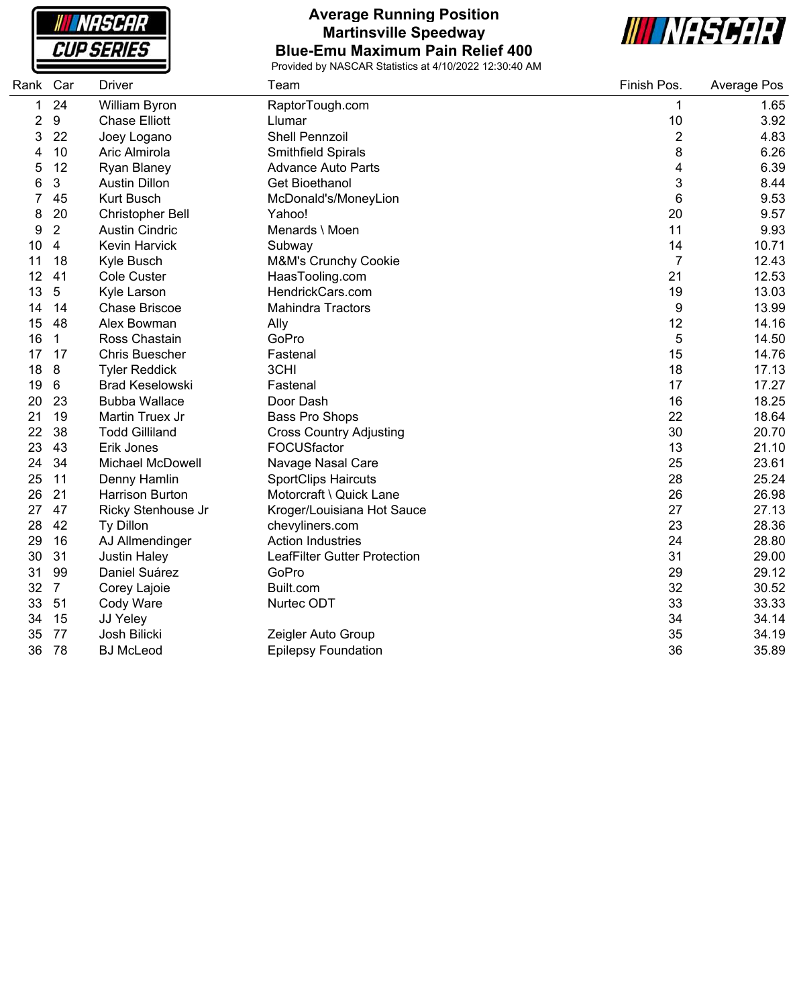**NASCAR CUP SERIES** 

### **Average Running Position Martinsville Speedway Blue-Emu Maximum Pain Relief 400**



| Rank           | Car              | <b>Driver</b>          | Team                            | Finish Pos.    | Average Pos |
|----------------|------------------|------------------------|---------------------------------|----------------|-------------|
| 1              | 24               | William Byron          | RaptorTough.com                 | 1              | 1.65        |
| $\overline{2}$ | $\boldsymbol{9}$ | <b>Chase Elliott</b>   | Llumar                          | 10             | 3.92        |
| 3              | 22               | Joey Logano            | <b>Shell Pennzoil</b>           | $\overline{2}$ | 4.83        |
| 4              | 10               | Aric Almirola          | Smithfield Spirals              | 8              | 6.26        |
| 5              | 12               | Ryan Blaney            | <b>Advance Auto Parts</b>       | 4              | 6.39        |
| 6              | 3                | <b>Austin Dillon</b>   | Get Bioethanol                  | 3              | 8.44        |
|                | 45               | <b>Kurt Busch</b>      | McDonald's/MoneyLion            | 6              | 9.53        |
| 8              | 20               | Christopher Bell       | Yahoo!                          | 20             | 9.57        |
| 9              | $\overline{2}$   | <b>Austin Cindric</b>  | Menards \ Moen                  | 11             | 9.93        |
| 10             | $\overline{4}$   | <b>Kevin Harvick</b>   | Subway                          | 14             | 10.71       |
| 11             | 18               | Kyle Busch             | <b>M&amp;M's Crunchy Cookie</b> | $\overline{7}$ | 12.43       |
| 12             | 41               | <b>Cole Custer</b>     | HaasTooling.com                 | 21             | 12.53       |
| 13             | 5                | Kyle Larson            | HendrickCars.com                | 19             | 13.03       |
| 14             | 14               | <b>Chase Briscoe</b>   | <b>Mahindra Tractors</b>        | 9              | 13.99       |
| 15             | 48               | Alex Bowman            | Ally                            | 12             | 14.16       |
| 16             | $\mathbf{1}$     | Ross Chastain          | GoPro                           | 5              | 14.50       |
| 17             | 17               | <b>Chris Buescher</b>  | Fastenal                        | 15             | 14.76       |
| 18             | 8                | <b>Tyler Reddick</b>   | 3CHI                            | 18             | 17.13       |
| 19             | 6                | <b>Brad Keselowski</b> | Fastenal                        | 17             | 17.27       |
| 20             | 23               | <b>Bubba Wallace</b>   | Door Dash                       | 16             | 18.25       |
| 21             | 19               | Martin Truex Jr        | Bass Pro Shops                  | 22             | 18.64       |
| 22             | 38               | <b>Todd Gilliland</b>  | <b>Cross Country Adjusting</b>  | 30             | 20.70       |
| 23             | 43               | Erik Jones             | FOCUSfactor                     | 13             | 21.10       |
| 24             | 34               | Michael McDowell       | Navage Nasal Care               | 25             | 23.61       |
| 25             | 11               | Denny Hamlin           | <b>SportClips Haircuts</b>      | 28             | 25.24       |
| 26             | 21               | <b>Harrison Burton</b> | Motorcraft \ Quick Lane         | 26             | 26.98       |
| 27             | 47               | Ricky Stenhouse Jr     | Kroger/Louisiana Hot Sauce      | 27             | 27.13       |
| 28             | 42               | Ty Dillon              | chevyliners.com                 | 23             | 28.36       |
| 29             | 16               | AJ Allmendinger        | <b>Action Industries</b>        | 24             | 28.80       |
| 30             | 31               | <b>Justin Haley</b>    | LeafFilter Gutter Protection    | 31             | 29.00       |
| 31             | 99               | Daniel Suárez          | GoPro                           | 29             | 29.12       |
| 32             | $\overline{7}$   | Corey Lajoie           | Built.com                       | 32             | 30.52       |
| 33             | 51               | Cody Ware              | Nurtec ODT                      | 33             | 33.33       |
| 34             | 15               | JJ Yeley               |                                 | 34             | 34.14       |
| 35             | 77               | Josh Bilicki           | Zeigler Auto Group              | 35             | 34.19       |
| 36             | 78               | <b>BJ</b> McLeod       | <b>Epilepsy Foundation</b>      | 36             | 35.89       |
|                |                  |                        |                                 |                |             |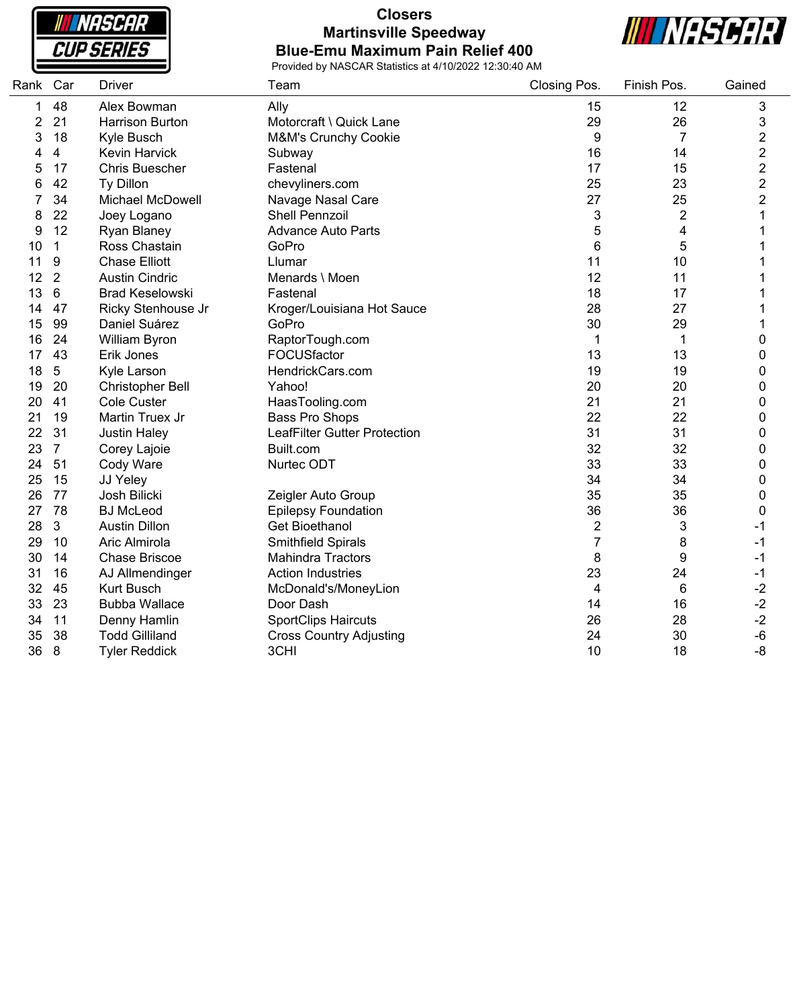**INASCAR CUP SERIES** 

### **Closers Martinsville Speedway Blue-Emu Maximum Pain Relief 400**



| Rank | Car                     | <b>Driver</b>           | Team                           | Closing Pos. | Finish Pos. | Gained                  |
|------|-------------------------|-------------------------|--------------------------------|--------------|-------------|-------------------------|
| 1    | 48                      | Alex Bowman             | Ally                           | 15           | 12          | 3                       |
| 2    | 21                      | <b>Harrison Burton</b>  | Motorcraft \ Quick Lane        | 29           | 26          | 3                       |
| 3    | 18                      | Kyle Busch              | M&M's Crunchy Cookie           | 9            | 7           | 2                       |
| 4    | $\overline{\mathbf{4}}$ | Kevin Harvick           | Subway                         | 16           | 14          | $\overline{\mathbf{c}}$ |
| 5    | 17                      | <b>Chris Buescher</b>   | Fastenal                       | 17           | 15          | $\overline{\mathbf{c}}$ |
| 6    | 42                      | Ty Dillon               | chevyliners.com                | 25           | 23          | $\overline{\mathbf{c}}$ |
|      | 34                      | <b>Michael McDowell</b> | Navage Nasal Care              | 27           | 25          | $\overline{c}$          |
| 8    | 22                      | Joey Logano             | <b>Shell Pennzoil</b>          | 3            | 2           | 1                       |
| 9    | 12                      | Ryan Blaney             | <b>Advance Auto Parts</b>      | 5            | 4           | 1                       |
| 10   | 1                       | Ross Chastain           | GoPro                          | 6            | 5           | 1                       |
| 11   | 9                       | <b>Chase Elliott</b>    | Llumar                         | 11           | 10          | 1                       |
| 12   | $\overline{2}$          | <b>Austin Cindric</b>   | Menards \ Moen                 | 12           | 11          | 1                       |
| 13   | 6                       | <b>Brad Keselowski</b>  | Fastenal                       | 18           | 17          | 1                       |
| 14   | 47                      | Ricky Stenhouse Jr      | Kroger/Louisiana Hot Sauce     | 28           | 27          | 1                       |
| 15   | 99                      | Daniel Suárez           | GoPro                          | 30           | 29          | 1                       |
| 16   | 24                      | William Byron           | RaptorTough.com                | 1            | 1           | 0                       |
| 17   | 43                      | Erik Jones              | FOCUSfactor                    | 13           | 13          | 0                       |
| 18   | 5                       | Kyle Larson             | HendrickCars.com               | 19           | 19          | 0                       |
| 19   | 20                      | <b>Christopher Bell</b> | Yahoo!                         | 20           | 20          | 0                       |
| 20   | 41                      | Cole Custer             | HaasTooling.com                | 21           | 21          | 0                       |
| 21   | 19                      | Martin Truex Jr         | <b>Bass Pro Shops</b>          | 22           | 22          | 0                       |
| 22   | 31                      | <b>Justin Haley</b>     | LeafFilter Gutter Protection   | 31           | 31          | 0                       |
| 23   | $\overline{7}$          | Corey Lajoie            | Built.com                      | 32           | 32          | 0                       |
| 24   | 51                      | Cody Ware               | Nurtec ODT                     | 33           | 33          | 0                       |
| 25   | 15                      | JJ Yeley                |                                | 34           | 34          | 0                       |
| 26   | 77                      | Josh Bilicki            | Zeigler Auto Group             | 35           | 35          | 0                       |
| 27   | 78                      | <b>BJ McLeod</b>        | <b>Epilepsy Foundation</b>     | 36           | 36          | 0                       |
| 28   | 3                       | <b>Austin Dillon</b>    | <b>Get Bioethanol</b>          | 2            | 3           | -1                      |
| 29   | 10                      | Aric Almirola           | Smithfield Spirals             | 7            | 8           | $-1$                    |
| 30   | 14                      | <b>Chase Briscoe</b>    | <b>Mahindra Tractors</b>       | 8            | 9           | $-1$                    |
| 31   | 16                      | AJ Allmendinger         | <b>Action Industries</b>       | 23           | 24          | $-1$                    |
| 32   | 45                      | <b>Kurt Busch</b>       | McDonald's/MoneyLion           | 4            | 6           | $-2$                    |
| 33   | 23                      | <b>Bubba Wallace</b>    | Door Dash                      | 14           | 16          | $-2$                    |
| 34   | 11                      | Denny Hamlin            | <b>SportClips Haircuts</b>     | 26           | 28          | $-2$                    |
| 35   | 38                      | <b>Todd Gilliland</b>   | <b>Cross Country Adjusting</b> | 24           | 30          | $-6$                    |
| 36   | 8                       | <b>Tyler Reddick</b>    | 3CHI                           | 10           | 18          | -8                      |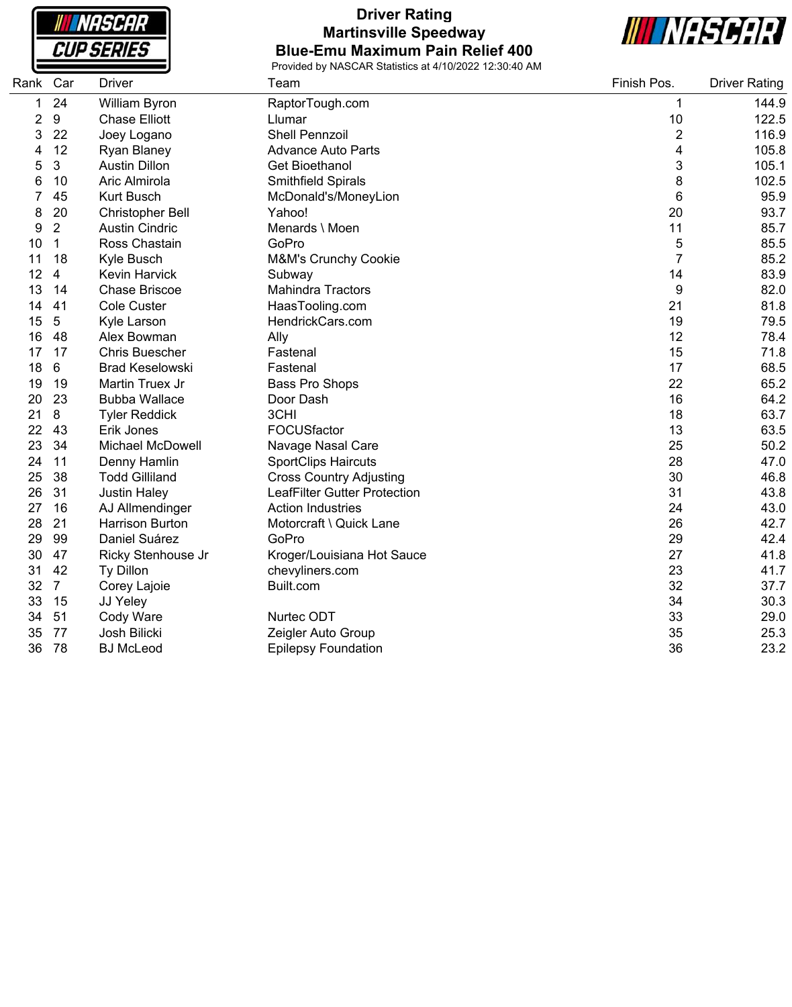**NASCAR CUP SERIES** 

## **Driver Rating Martinsville Speedway Blue-Emu Maximum Pain Relief 400**



| Rank | Car            | <b>Driver</b>           | Team                           | Finish Pos.    | <b>Driver Rating</b> |
|------|----------------|-------------------------|--------------------------------|----------------|----------------------|
| 1    | 24             | William Byron           | RaptorTough.com                | 1              | 144.9                |
| 2    | 9              | <b>Chase Elliott</b>    | Llumar                         | 10             | 122.5                |
| 3    | 22             | Joey Logano             | <b>Shell Pennzoil</b>          | $\overline{2}$ | 116.9                |
| 4    | 12             | <b>Ryan Blaney</b>      | <b>Advance Auto Parts</b>      | 4              | 105.8                |
| 5    | 3              | <b>Austin Dillon</b>    | <b>Get Bioethanol</b>          | 3              | 105.1                |
| 6    | 10             | Aric Almirola           | Smithfield Spirals             | 8              | 102.5                |
|      | 45             | <b>Kurt Busch</b>       | McDonald's/MoneyLion           | 6              | 95.9                 |
| 8    | 20             | <b>Christopher Bell</b> | Yahoo!                         | 20             | 93.7                 |
| 9    | $\overline{2}$ | <b>Austin Cindric</b>   | Menards \ Moen                 | 11             | 85.7                 |
| 10   | $\mathbf{1}$   | Ross Chastain           | GoPro                          | 5              | 85.5                 |
| 11   | 18             | Kyle Busch              | M&M's Crunchy Cookie           | $\overline{7}$ | 85.2                 |
| 12   | 4              | <b>Kevin Harvick</b>    | Subway                         | 14             | 83.9                 |
| 13   | 14             | <b>Chase Briscoe</b>    | <b>Mahindra Tractors</b>       | 9              | 82.0                 |
| 14   | 41             | <b>Cole Custer</b>      | HaasTooling.com                | 21             | 81.8                 |
| 15   | 5              | Kyle Larson             | HendrickCars.com               | 19             | 79.5                 |
| 16   | 48             | Alex Bowman             | Ally                           | 12             | 78.4                 |
| 17   | 17             | <b>Chris Buescher</b>   | Fastenal                       | 15             | 71.8                 |
| 18   | 6              | <b>Brad Keselowski</b>  | Fastenal                       | 17             | 68.5                 |
| 19   | 19             | Martin Truex Jr         | <b>Bass Pro Shops</b>          | 22             | 65.2                 |
| 20   | 23             | <b>Bubba Wallace</b>    | Door Dash                      | 16             | 64.2                 |
| 21   | 8              | <b>Tyler Reddick</b>    | 3CHI                           | 18             | 63.7                 |
| 22   | 43             | Erik Jones              | FOCUSfactor                    | 13             | 63.5                 |
| 23   | 34             | Michael McDowell        | Navage Nasal Care              | 25             | 50.2                 |
| 24   | 11             | Denny Hamlin            | <b>SportClips Haircuts</b>     | 28             | 47.0                 |
| 25   | 38             | <b>Todd Gilliland</b>   | <b>Cross Country Adjusting</b> | 30             | 46.8                 |
| 26   | 31             | <b>Justin Haley</b>     | LeafFilter Gutter Protection   | 31             | 43.8                 |
| 27   | 16             | AJ Allmendinger         | <b>Action Industries</b>       | 24             | 43.0                 |
| 28   | 21             | <b>Harrison Burton</b>  | Motorcraft \ Quick Lane        | 26             | 42.7                 |
| 29   | 99             | Daniel Suárez           | GoPro                          | 29             | 42.4                 |
| 30   | 47             | Ricky Stenhouse Jr      | Kroger/Louisiana Hot Sauce     | 27             | 41.8                 |
| 31   | 42             | Ty Dillon               | chevyliners.com                | 23             | 41.7                 |
| 32   | $\overline{7}$ | Corey Lajoie            | Built.com                      | 32             | 37.7                 |
| 33   | 15             | JJ Yeley                |                                | 34             | 30.3                 |
| 34   | 51             | Cody Ware               | Nurtec ODT                     | 33             | 29.0                 |
| 35   | 77             | Josh Bilicki            | Zeigler Auto Group             | 35             | 25.3                 |
| 36   | 78             | <b>BJ McLeod</b>        | <b>Epilepsy Foundation</b>     | 36             | 23.2                 |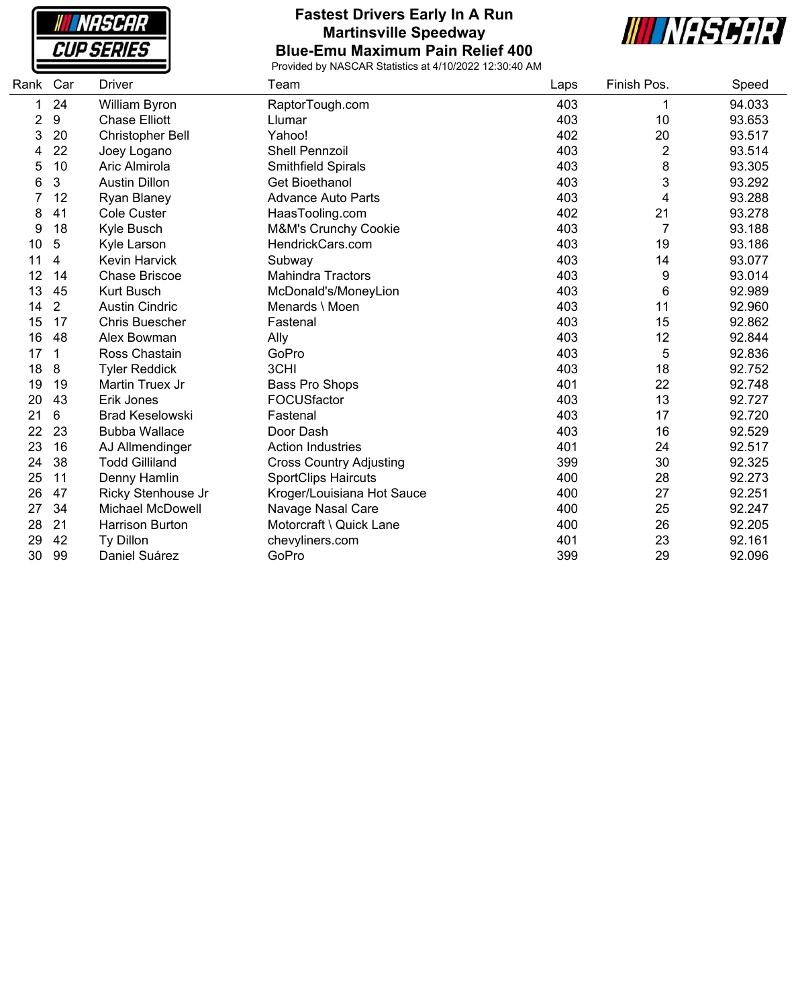**NASCAR CUP SERIES** 

#### **Fastest Drivers Early In A Run Martinsville Speedway Blue-Emu Maximum Pain Relief 400**



| Rank | Car                     | <b>Driver</b>           | Team                           | Laps | Finish Pos.    | Speed  |
|------|-------------------------|-------------------------|--------------------------------|------|----------------|--------|
| 1    | 24                      | William Byron           | RaptorTough.com                | 403  |                | 94.033 |
| 2    | 9                       | <b>Chase Elliott</b>    | Llumar                         | 403  | 10             | 93.653 |
| 3    | 20                      | Christopher Bell        | Yahoo!                         | 402  | 20             | 93.517 |
| 4    | 22                      | Joey Logano             | <b>Shell Pennzoil</b>          | 403  | $\overline{2}$ | 93.514 |
| 5    | 10                      | Aric Almirola           | Smithfield Spirals             | 403  | 8              | 93.305 |
| 6    | 3                       | <b>Austin Dillon</b>    | <b>Get Bioethanol</b>          | 403  | 3              | 93.292 |
|      | 12                      | <b>Ryan Blaney</b>      | <b>Advance Auto Parts</b>      | 403  | 4              | 93.288 |
| 8    | 41                      | <b>Cole Custer</b>      | HaasTooling.com                | 402  | 21             | 93.278 |
| 9    | 18                      | Kyle Busch              | M&M's Crunchy Cookie           | 403  | 7              | 93.188 |
| 10   | 5                       | Kyle Larson             | HendrickCars.com               | 403  | 19             | 93.186 |
| 11   | $\overline{\mathbf{4}}$ | <b>Kevin Harvick</b>    | Subway                         | 403  | 14             | 93.077 |
| 12   | 14                      | <b>Chase Briscoe</b>    | <b>Mahindra Tractors</b>       | 403  | 9              | 93.014 |
| 13   | 45                      | <b>Kurt Busch</b>       | McDonald's/MoneyLion           | 403  | 6              | 92.989 |
| 14   | 2                       | <b>Austin Cindric</b>   | Menards \ Moen                 | 403  | 11             | 92.960 |
| 15   | 17                      | Chris Buescher          | Fastenal                       | 403  | 15             | 92.862 |
| 16   | 48                      | Alex Bowman             | Ally                           | 403  | 12             | 92.844 |
| 17   | 1                       | Ross Chastain           | GoPro                          | 403  | 5              | 92.836 |
| 18   | 8                       | <b>Tyler Reddick</b>    | 3CHI                           | 403  | 18             | 92.752 |
| 19   | 19                      | Martin Truex Jr         | Bass Pro Shops                 | 401  | 22             | 92.748 |
| 20   | 43                      | Erik Jones              | FOCUSfactor                    | 403  | 13             | 92.727 |
| 21   | 6                       | <b>Brad Keselowski</b>  | Fastenal                       | 403  | 17             | 92.720 |
| 22   | 23                      | <b>Bubba Wallace</b>    | Door Dash                      | 403  | 16             | 92.529 |
| 23   | 16                      | AJ Allmendinger         | <b>Action Industries</b>       | 401  | 24             | 92.517 |
| 24   | 38                      | <b>Todd Gilliland</b>   | <b>Cross Country Adjusting</b> | 399  | 30             | 92.325 |
| 25   | 11                      | Denny Hamlin            | <b>SportClips Haircuts</b>     | 400  | 28             | 92.273 |
| 26   | 47                      | Ricky Stenhouse Jr      | Kroger/Louisiana Hot Sauce     | 400  | 27             | 92.251 |
| 27   | 34                      | <b>Michael McDowell</b> | Navage Nasal Care              | 400  | 25             | 92.247 |
| 28   | 21                      | <b>Harrison Burton</b>  | Motorcraft \ Quick Lane        | 400  | 26             | 92.205 |
| 29   | 42                      | Ty Dillon               | chevyliners.com                | 401  | 23             | 92.161 |
| 30   | 99                      | Daniel Suárez           | GoPro                          | 399  | 29             | 92.096 |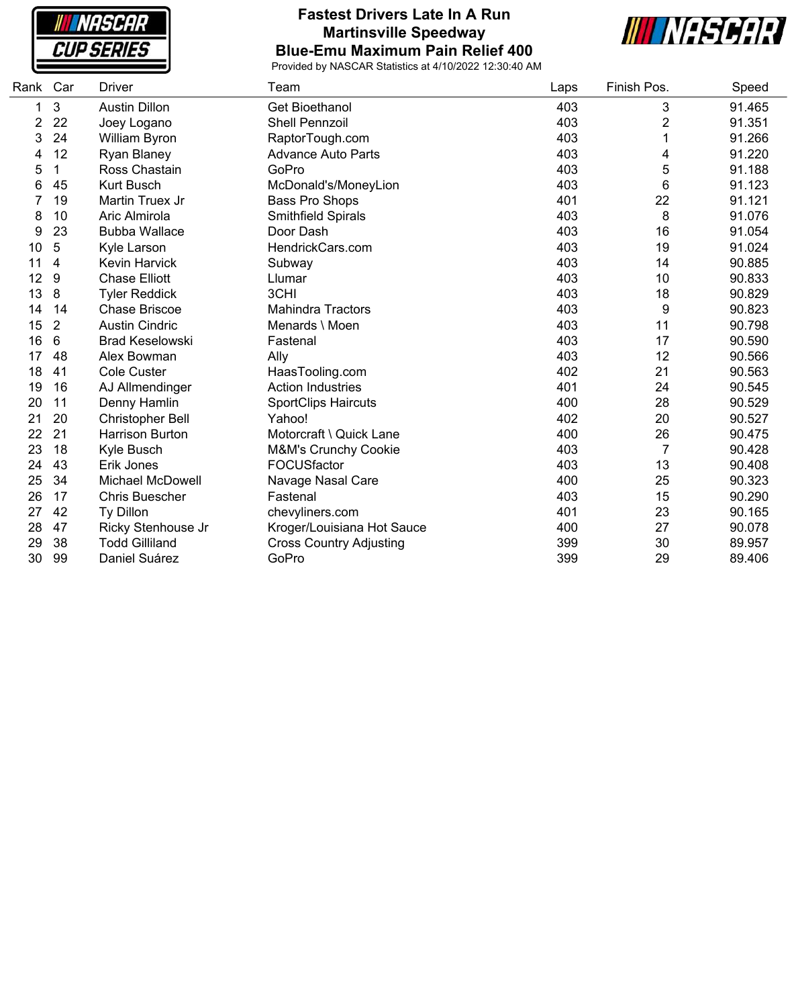**NASCAR CUP SERIES** 

### **Fastest Drivers Late In A Run Martinsville Speedway Blue-Emu Maximum Pain Relief 400**



| Rank | Car            | Driver                  | Team                            | Laps | Finish Pos.    | Speed  |
|------|----------------|-------------------------|---------------------------------|------|----------------|--------|
| 1    | 3              | <b>Austin Dillon</b>    | <b>Get Bioethanol</b>           | 403  | 3              | 91.465 |
| 2    | 22             | Joey Logano             | <b>Shell Pennzoil</b>           | 403  | 2              | 91.351 |
| 3    | 24             | William Byron           | RaptorTough.com                 | 403  |                | 91.266 |
| 4    | 12             | <b>Ryan Blaney</b>      | <b>Advance Auto Parts</b>       | 403  | 4              | 91.220 |
| 5    | 1              | Ross Chastain           | GoPro                           | 403  | 5              | 91.188 |
| 6    | 45             | <b>Kurt Busch</b>       | McDonald's/MoneyLion            | 403  | 6              | 91.123 |
|      | 19             | Martin Truex Jr         | Bass Pro Shops                  | 401  | 22             | 91.121 |
| 8    | 10             | Aric Almirola           | Smithfield Spirals              | 403  | 8              | 91.076 |
| 9    | 23             | <b>Bubba Wallace</b>    | Door Dash                       | 403  | 16             | 91.054 |
| 10   | 5              | Kyle Larson             | HendrickCars.com                | 403  | 19             | 91.024 |
| 11   | 4              | Kevin Harvick           | Subway                          | 403  | 14             | 90.885 |
| 12   | 9              | <b>Chase Elliott</b>    | Llumar                          | 403  | 10             | 90.833 |
| 13   | 8              | <b>Tyler Reddick</b>    | 3CHI                            | 403  | 18             | 90.829 |
| 14   | 14             | Chase Briscoe           | <b>Mahindra Tractors</b>        | 403  | 9              | 90.823 |
| 15   | $\overline{2}$ | <b>Austin Cindric</b>   | Menards \ Moen                  | 403  | 11             | 90.798 |
| 16   | 6              | <b>Brad Keselowski</b>  | Fastenal                        | 403  | 17             | 90.590 |
| 17   | 48             | Alex Bowman             | Ally                            | 403  | 12             | 90.566 |
| 18   | 41             | <b>Cole Custer</b>      | HaasTooling.com                 | 402  | 21             | 90.563 |
| 19   | 16             | AJ Allmendinger         | <b>Action Industries</b>        | 401  | 24             | 90.545 |
| 20   | 11             | Denny Hamlin            | <b>SportClips Haircuts</b>      | 400  | 28             | 90.529 |
| 21   | 20             | Christopher Bell        | Yahoo!                          | 402  | 20             | 90.527 |
| 22   | 21             | <b>Harrison Burton</b>  | Motorcraft \ Quick Lane         | 400  | 26             | 90.475 |
| 23   | 18             | Kyle Busch              | <b>M&amp;M's Crunchy Cookie</b> | 403  | $\overline{7}$ | 90.428 |
| 24   | 43             | Erik Jones              | FOCUSfactor                     | 403  | 13             | 90.408 |
| 25   | 34             | <b>Michael McDowell</b> | Navage Nasal Care               | 400  | 25             | 90.323 |
| 26   | 17             | <b>Chris Buescher</b>   | Fastenal                        | 403  | 15             | 90.290 |
| 27   | 42             | Ty Dillon               | chevyliners.com                 | 401  | 23             | 90.165 |
| 28   | 47             | Ricky Stenhouse Jr      | Kroger/Louisiana Hot Sauce      | 400  | 27             | 90.078 |
| 29   | 38             | <b>Todd Gilliland</b>   | <b>Cross Country Adjusting</b>  | 399  | 30             | 89.957 |
| 30   | 99             | Daniel Suárez           | GoPro                           | 399  | 29             | 89.406 |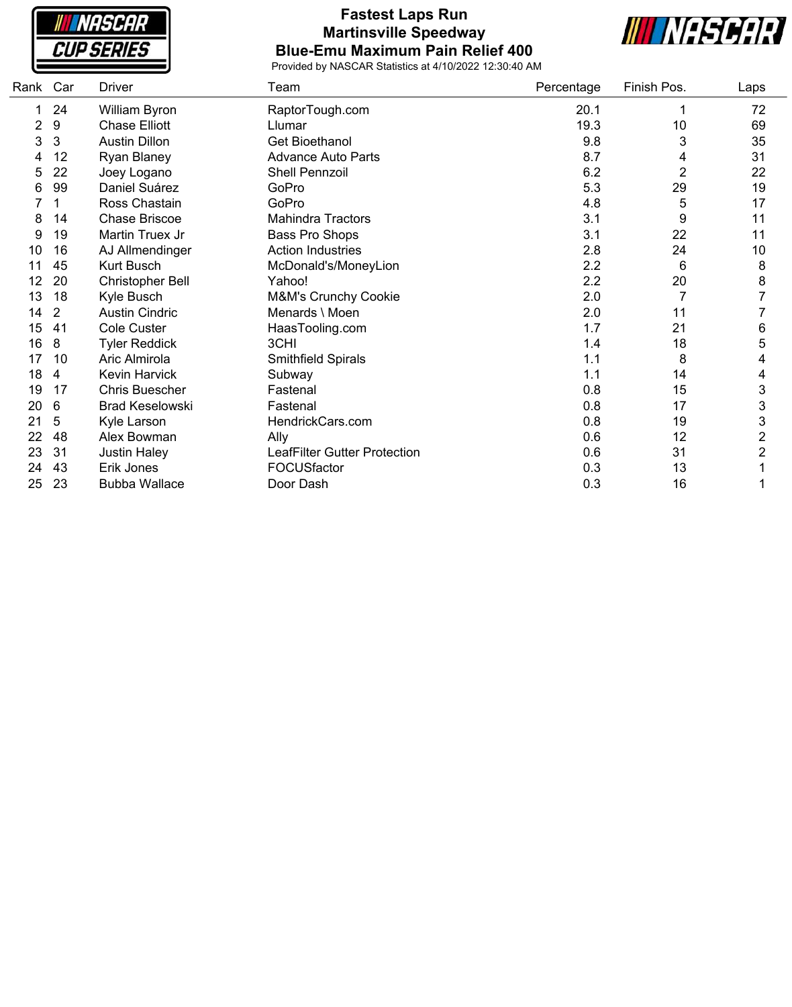**INASCAR CUP SERIES** 

## **Fastest Laps Run Martinsville Speedway Blue-Emu Maximum Pain Relief 400**



| Rank | Car | <b>Driver</b>           | Team                         | Percentage | Finish Pos.    | Laps           |
|------|-----|-------------------------|------------------------------|------------|----------------|----------------|
|      | 24  | William Byron           | RaptorTough.com              | 20.1       | 1              | 72             |
|      | 9   | <b>Chase Elliott</b>    | Llumar                       | 19.3       | 10             | 69             |
| 3    | 3   | <b>Austin Dillon</b>    | Get Bioethanol               | 9.8        | 3              | 35             |
|      | 12  | Ryan Blaney             | <b>Advance Auto Parts</b>    | 8.7        | 4              | 31             |
| 5    | 22  | Joey Logano             | Shell Pennzoil               | 6.2        | 2              | 22             |
| 6    | 99  | Daniel Suárez           | GoPro                        | 5.3        | 29             | 19             |
|      |     | Ross Chastain           | GoPro                        | 4.8        | 5              | 17             |
| 8    | 14  | <b>Chase Briscoe</b>    | <b>Mahindra Tractors</b>     | 3.1        | 9              | 11             |
| 9    | 19  | Martin Truex Jr         | Bass Pro Shops               | 3.1        | 22             | 11             |
| 10   | 16  | AJ Allmendinger         | <b>Action Industries</b>     | 2.8        | 24             | 10             |
| 11   | 45  | Kurt Busch              | McDonald's/MoneyLion         | 2.2        | 6              | 8              |
| 12   | 20  | <b>Christopher Bell</b> | Yahoo!                       | 2.2        | 20             | 8              |
| 13   | 18  | Kyle Busch              | M&M's Crunchy Cookie         | 2.0        | $\overline{7}$ |                |
| 14   | 2   | <b>Austin Cindric</b>   | Menards \ Moen               | 2.0        | 11             |                |
| 15   | 41  | <b>Cole Custer</b>      | HaasTooling.com              | 1.7        | 21             | 6              |
| 16   | 8   | <b>Tyler Reddick</b>    | 3CHI                         | 1.4        | 18             | 5              |
| 17   | 10  | Aric Almirola           | Smithfield Spirals           | 1.1        | 8              | 4              |
| 18   | 4   | Kevin Harvick           | Subway                       | 1.1        | 14             | 4              |
| 19   | 17  | <b>Chris Buescher</b>   | Fastenal                     | 0.8        | 15             | 3              |
| 20   | 6   | <b>Brad Keselowski</b>  | Fastenal                     | 0.8        | 17             | 3              |
| 21   | 5   | Kyle Larson             | HendrickCars.com             | 0.8        | 19             | 3              |
| 22   | 48  | Alex Bowman             | Ally                         | 0.6        | 12             | $\overline{2}$ |
| 23   | 31  | <b>Justin Haley</b>     | LeafFilter Gutter Protection | 0.6        | 31             | $\overline{2}$ |
| 24   | 43  | Erik Jones              | FOCUSfactor                  | 0.3        | 13             |                |
| 25   | 23  | <b>Bubba Wallace</b>    | Door Dash                    | 0.3        | 16             |                |
|      |     |                         |                              |            |                |                |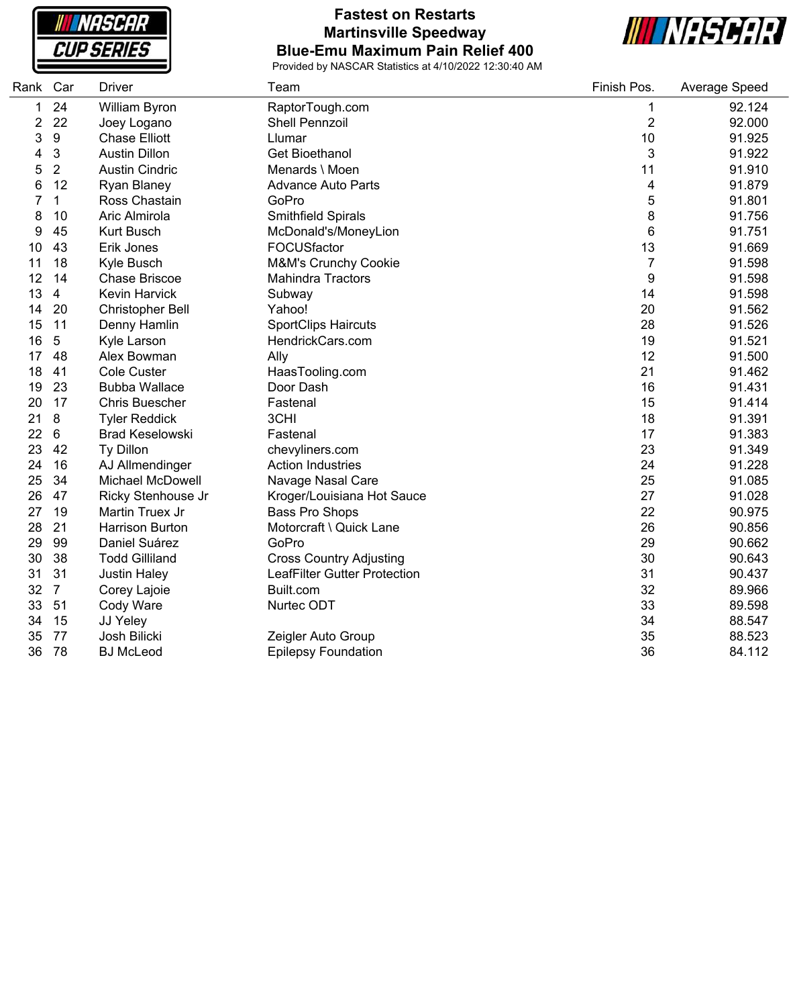**INASCAR CUP SERIES** 

## **Fastest on Restarts Martinsville Speedway Blue-Emu Maximum Pain Relief 400**



| Rank | Car            | <b>Driver</b>           | Team                                | Finish Pos.    | Average Speed |
|------|----------------|-------------------------|-------------------------------------|----------------|---------------|
| 1    | 24             | William Byron           | RaptorTough.com                     | 1              | 92.124        |
| 2    | 22             | Joey Logano             | <b>Shell Pennzoil</b>               | $\overline{2}$ | 92.000        |
| 3    | 9              | <b>Chase Elliott</b>    | Llumar                              | 10             | 91.925        |
| 4    | 3              | <b>Austin Dillon</b>    | <b>Get Bioethanol</b>               | 3              | 91.922        |
| 5    | $\overline{2}$ | <b>Austin Cindric</b>   | Menards \ Moen                      | 11             | 91.910        |
| 6    | 12             | Ryan Blaney             | <b>Advance Auto Parts</b>           | 4              | 91.879        |
| 7    | 1              | Ross Chastain           | GoPro                               | 5              | 91.801        |
| 8    | 10             | Aric Almirola           | <b>Smithfield Spirals</b>           | 8              | 91.756        |
| 9    | 45             | <b>Kurt Busch</b>       | McDonald's/MoneyLion                | 6              | 91.751        |
| 10   | 43             | Erik Jones              | FOCUSfactor                         | 13             | 91.669        |
| 11   | 18             | Kyle Busch              | M&M's Crunchy Cookie                | 7              | 91.598        |
| 12   | 14             | <b>Chase Briscoe</b>    | <b>Mahindra Tractors</b>            | 9              | 91.598        |
| 13   | 4              | <b>Kevin Harvick</b>    | Subway                              | 14             | 91.598        |
| 14   | 20             | <b>Christopher Bell</b> | Yahoo!                              | 20             | 91.562        |
| 15   | 11             | Denny Hamlin            | <b>SportClips Haircuts</b>          | 28             | 91.526        |
| 16   | 5              | Kyle Larson             | HendrickCars.com                    | 19             | 91.521        |
| 17   | 48             | Alex Bowman             | Ally                                | 12             | 91.500        |
| 18   | 41             | Cole Custer             | HaasTooling.com                     | 21             | 91.462        |
| 19   | 23             | <b>Bubba Wallace</b>    | Door Dash                           | 16             | 91.431        |
| 20   | 17             | <b>Chris Buescher</b>   | Fastenal                            | 15             | 91.414        |
| 21   | 8              | <b>Tyler Reddick</b>    | 3CHI                                | 18             | 91.391        |
| 22   | 6              | <b>Brad Keselowski</b>  | Fastenal                            | 17             | 91.383        |
| 23   | 42             | Ty Dillon               | chevyliners.com                     | 23             | 91.349        |
| 24   | 16             | AJ Allmendinger         | <b>Action Industries</b>            | 24             | 91.228        |
| 25   | 34             | <b>Michael McDowell</b> | Navage Nasal Care                   | 25             | 91.085        |
| 26   | 47             | Ricky Stenhouse Jr      | Kroger/Louisiana Hot Sauce          | 27             | 91.028        |
| 27   | 19             | Martin Truex Jr         | Bass Pro Shops                      | 22             | 90.975        |
| 28   | 21             | <b>Harrison Burton</b>  | Motorcraft \ Quick Lane             | 26             | 90.856        |
| 29   | 99             | Daniel Suárez           | GoPro                               | 29             | 90.662        |
| 30   | 38             | <b>Todd Gilliland</b>   | <b>Cross Country Adjusting</b>      | 30             | 90.643        |
| 31   | 31             | <b>Justin Haley</b>     | <b>LeafFilter Gutter Protection</b> | 31             | 90.437        |
| 32   | $\overline{7}$ | Corey Lajoie            | Built.com                           | 32             | 89.966        |
| 33   | 51             | Cody Ware               | Nurtec ODT                          | 33             | 89.598        |
| 34   | 15             | JJ Yeley                |                                     | 34             | 88.547        |
| 35   | 77             | Josh Bilicki            | Zeigler Auto Group                  | 35             | 88.523        |
| 36   | 78             | <b>BJ McLeod</b>        | <b>Epilepsy Foundation</b>          | 36             | 84.112        |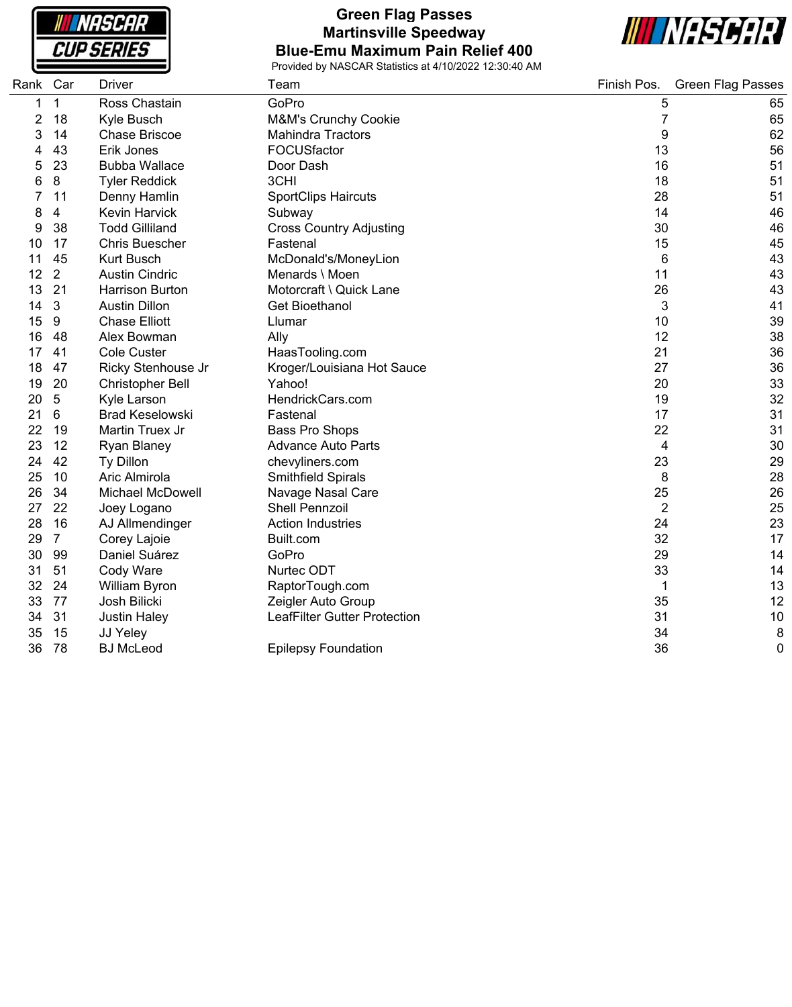**NASCAR CUP SERIES** 

### **Green Flag Passes Martinsville Speedway Blue-Emu Maximum Pain Relief 400**



| Rank Car |                | Driver                  | Team                                | Finish Pos.    | <b>Green Flag Passes</b> |
|----------|----------------|-------------------------|-------------------------------------|----------------|--------------------------|
| 1        | 1              | Ross Chastain           | GoPro                               | 5              | 65                       |
| 2        | 18             | Kyle Busch              | M&M's Crunchy Cookie                | 7              | 65                       |
| 3        | 14             | <b>Chase Briscoe</b>    | <b>Mahindra Tractors</b>            | 9              | 62                       |
|          | 43             | Erik Jones              | FOCUSfactor                         | 13             | 56                       |
| 5        | 23             | <b>Bubba Wallace</b>    | Door Dash                           | 16             | 51                       |
| 6        | 8              | <b>Tyler Reddick</b>    | 3CHI                                | 18             | 51                       |
|          | 11             | Denny Hamlin            | <b>SportClips Haircuts</b>          | 28             | 51                       |
| 8        | 4              | <b>Kevin Harvick</b>    | Subway                              | 14             | 46                       |
| 9        | 38             | <b>Todd Gilliland</b>   | <b>Cross Country Adjusting</b>      | 30             | 46                       |
| 10       | 17             | <b>Chris Buescher</b>   | Fastenal                            | 15             | 45                       |
| 11       | 45             | <b>Kurt Busch</b>       | McDonald's/MoneyLion                | 6              | 43                       |
| 12       | 2              | <b>Austin Cindric</b>   | Menards \ Moen                      | 11             | 43                       |
| 13       | 21             | <b>Harrison Burton</b>  | Motorcraft \ Quick Lane             | 26             | 43                       |
| 14       | 3              | <b>Austin Dillon</b>    | Get Bioethanol                      | 3              | 41                       |
| 15       | 9              | <b>Chase Elliott</b>    | Llumar                              | 10             | 39                       |
| 16       | 48             | Alex Bowman             | Ally                                | 12             | 38                       |
| 17       | 41             | <b>Cole Custer</b>      | HaasTooling.com                     | 21             | 36                       |
| 18       | 47             | Ricky Stenhouse Jr      | Kroger/Louisiana Hot Sauce          | 27             | 36                       |
| 19       | 20             | Christopher Bell        | Yahoo!                              | 20             | 33                       |
| 20       | 5              | Kyle Larson             | HendrickCars.com                    | 19             | 32                       |
| 21       | 6              | <b>Brad Keselowski</b>  | Fastenal                            | 17             | 31                       |
| 22       | 19             | Martin Truex Jr         | Bass Pro Shops                      | 22             | 31                       |
| 23       | 12             | Ryan Blaney             | <b>Advance Auto Parts</b>           | 4              | 30                       |
| 24       | 42             | Ty Dillon               | chevyliners.com                     | 23             | 29                       |
| 25       | 10             | Aric Almirola           | Smithfield Spirals                  | 8              | 28                       |
| 26       | 34             | <b>Michael McDowell</b> | Navage Nasal Care                   | 25             | 26                       |
| 27       | 22             | Joey Logano             | <b>Shell Pennzoil</b>               | $\overline{2}$ | 25                       |
| 28       | 16             | AJ Allmendinger         | <b>Action Industries</b>            | 24             | 23                       |
| 29       | $\overline{7}$ | Corey Lajoie            | Built.com                           | 32             | 17                       |
| 30       | 99             | Daniel Suárez           | GoPro                               | 29             | 14                       |
| 31       | 51             | Cody Ware               | Nurtec ODT                          | 33             | 14                       |
| 32       | 24             | William Byron           | RaptorTough.com                     | 1              | 13                       |
| 33       | 77             | Josh Bilicki            | Zeigler Auto Group                  | 35             | 12                       |
| 34       | 31             | <b>Justin Haley</b>     | <b>LeafFilter Gutter Protection</b> | 31             | 10                       |
| 35       | 15             | JJ Yeley                |                                     | 34             | 8                        |
| 36       | 78             | <b>BJ McLeod</b>        | <b>Epilepsy Foundation</b>          | 36             | 0                        |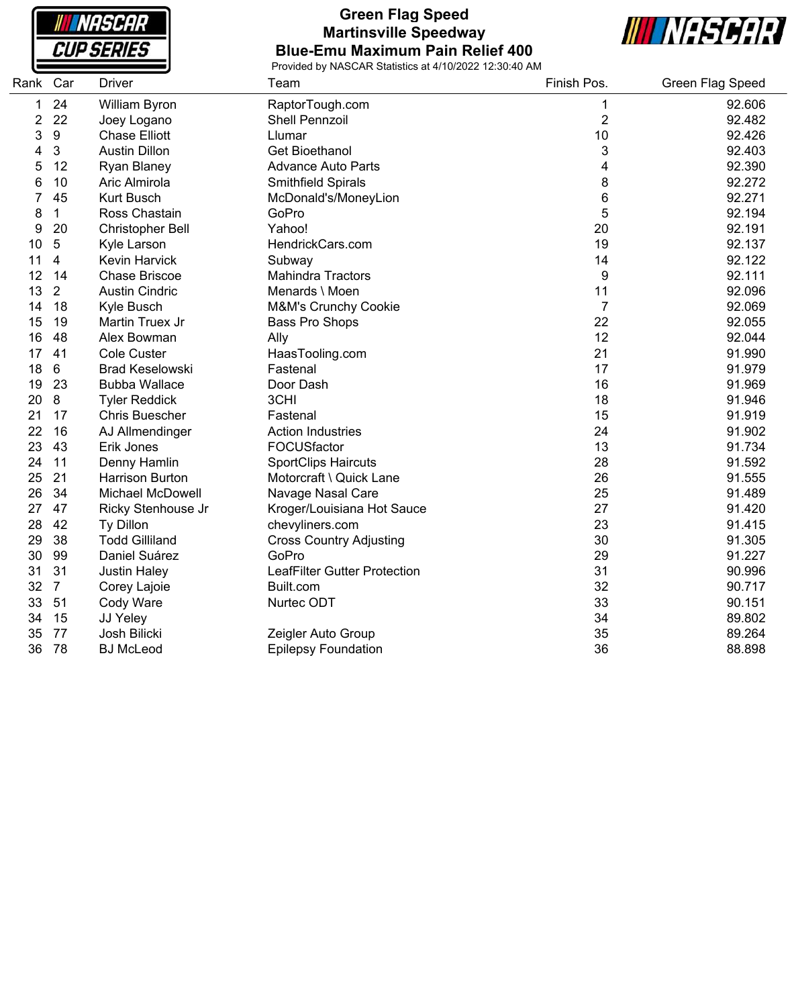**NASCAR CUP SERIES** 

### **Green Flag Speed Martinsville Speedway Blue-Emu Maximum Pain Relief 400**



| Rank Car |                  | <b>Driver</b>           | Team                           | Finish Pos.    | Green Flag Speed |
|----------|------------------|-------------------------|--------------------------------|----------------|------------------|
| 1        | 24               | William Byron           | RaptorTough.com                | 1              | 92.606           |
| 2        | 22               | Joey Logano             | <b>Shell Pennzoil</b>          | $\overline{c}$ | 92.482           |
| 3        | $\boldsymbol{9}$ | <b>Chase Elliott</b>    | Llumar                         | 10             | 92.426           |
| 4        | 3                | <b>Austin Dillon</b>    | <b>Get Bioethanol</b>          | 3              | 92.403           |
| 5        | 12               | Ryan Blaney             | <b>Advance Auto Parts</b>      | 4              | 92.390           |
| 6        | 10               | Aric Almirola           | Smithfield Spirals             | 8              | 92.272           |
| 7        | 45               | <b>Kurt Busch</b>       | McDonald's/MoneyLion           | 6              | 92.271           |
| 8        | 1                | Ross Chastain           | GoPro                          | 5              | 92.194           |
| 9        | 20               | Christopher Bell        | Yahoo!                         | 20             | 92.191           |
| 10       | $\overline{5}$   | Kyle Larson             | HendrickCars.com               | 19             | 92.137           |
| 11       | 4                | <b>Kevin Harvick</b>    | Subway                         | 14             | 92.122           |
| 12       | 14               | <b>Chase Briscoe</b>    | <b>Mahindra Tractors</b>       | 9              | 92.111           |
| 13       | $\overline{2}$   | <b>Austin Cindric</b>   | Menards \ Moen                 | 11             | 92.096           |
| 14       | 18               | Kyle Busch              | M&M's Crunchy Cookie           | $\overline{7}$ | 92.069           |
| 15       | 19               | Martin Truex Jr         | Bass Pro Shops                 | 22             | 92.055           |
| 16       | 48               | Alex Bowman             | Ally                           | 12             | 92.044           |
| 17       | 41               | <b>Cole Custer</b>      | HaasTooling.com                | 21             | 91.990           |
| 18       | 6                | <b>Brad Keselowski</b>  | Fastenal                       | 17             | 91.979           |
| 19       | 23               | <b>Bubba Wallace</b>    | Door Dash                      | 16             | 91.969           |
| 20       | 8                | <b>Tyler Reddick</b>    | 3CHI                           | 18             | 91.946           |
| 21       | 17               | <b>Chris Buescher</b>   | Fastenal                       | 15             | 91.919           |
| 22       | 16               | AJ Allmendinger         | <b>Action Industries</b>       | 24             | 91.902           |
| 23       | 43               | Erik Jones              | FOCUSfactor                    | 13             | 91.734           |
| 24       | 11               | Denny Hamlin            | <b>SportClips Haircuts</b>     | 28             | 91.592           |
| 25       | 21               | <b>Harrison Burton</b>  | Motorcraft \ Quick Lane        | 26             | 91.555           |
| 26       | 34               | <b>Michael McDowell</b> | Navage Nasal Care              | 25             | 91.489           |
| 27       | 47               | Ricky Stenhouse Jr      | Kroger/Louisiana Hot Sauce     | 27             | 91.420           |
| 28       | 42               | Ty Dillon               | chevyliners.com                | 23             | 91.415           |
| 29       | 38               | <b>Todd Gilliland</b>   | <b>Cross Country Adjusting</b> | 30             | 91.305           |
| 30       | 99               | Daniel Suárez           | GoPro                          | 29             | 91.227           |
| 31       | 31               | <b>Justin Haley</b>     | LeafFilter Gutter Protection   | 31             | 90.996           |
| 32       | $\overline{7}$   | Corey Lajoie            | Built.com                      | 32             | 90.717           |
| 33       | 51               | Cody Ware               | Nurtec ODT                     | 33             | 90.151           |
| 34       | 15               | JJ Yeley                |                                | 34             | 89.802           |
| 35       | 77               | Josh Bilicki            | Zeigler Auto Group             | 35             | 89.264           |
| 36       | 78               | <b>BJ</b> McLeod        | <b>Epilepsy Foundation</b>     | 36             | 88.898           |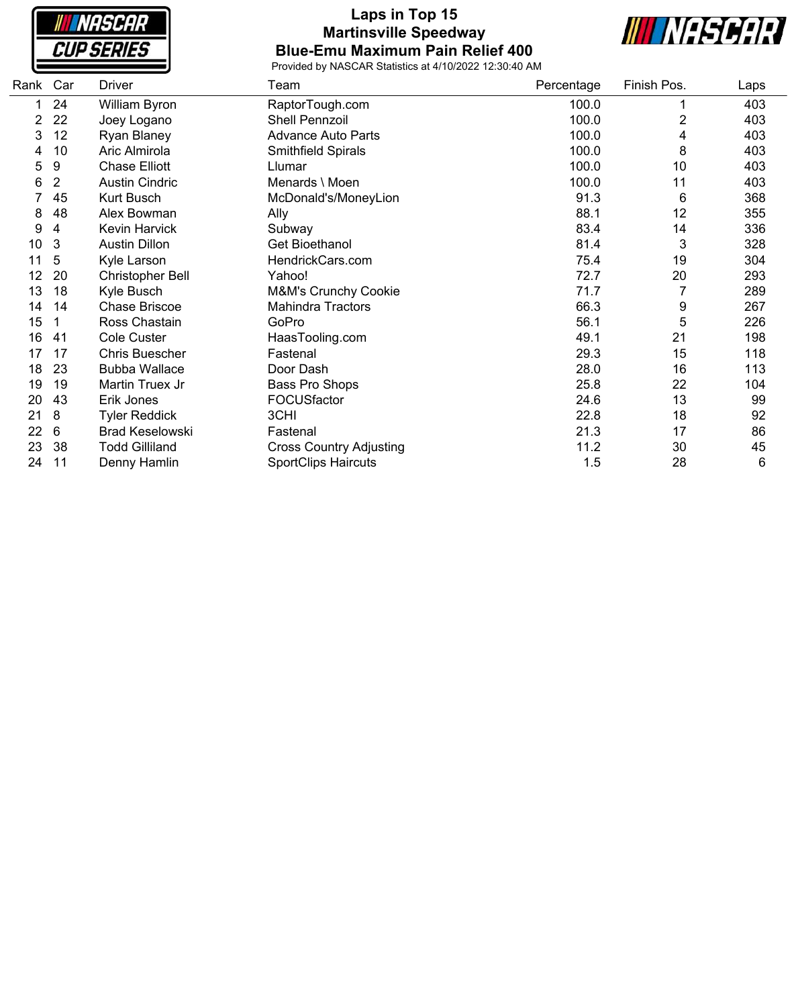**NASCAR CUP SERIES** 

### **Laps in Top 15 Martinsville Speedway Blue-Emu Maximum Pain Relief 400**



| Rank Car       |    | Driver                  | Team                           | Percentage | Finish Pos.    | Laps |
|----------------|----|-------------------------|--------------------------------|------------|----------------|------|
|                | 24 | William Byron           | RaptorTough.com                | 100.0      |                | 403  |
| $\overline{2}$ | 22 | Joey Logano             | Shell Pennzoil                 | 100.0      | $\overline{2}$ | 403  |
| 3              | 12 | <b>Ryan Blaney</b>      | <b>Advance Auto Parts</b>      | 100.0      | 4              | 403  |
| 4              | 10 | Aric Almirola           | Smithfield Spirals             | 100.0      | 8              | 403  |
| 5              | 9  | <b>Chase Elliott</b>    | Llumar                         | 100.0      | 10             | 403  |
| 6              | 2  | <b>Austin Cindric</b>   | Menards \ Moen                 | 100.0      | 11             | 403  |
|                | 45 | Kurt Busch              | McDonald's/MoneyLion           | 91.3       | 6              | 368  |
| 8              | 48 | Alex Bowman             | Ally                           | 88.1       | 12             | 355  |
| 9              | 4  | <b>Kevin Harvick</b>    | Subway                         | 83.4       | 14             | 336  |
| 10             | 3  | <b>Austin Dillon</b>    | Get Bioethanol                 | 81.4       | 3              | 328  |
| 11             | 5  | Kyle Larson             | HendrickCars.com               | 75.4       | 19             | 304  |
| 12             | 20 | <b>Christopher Bell</b> | Yahoo!                         | 72.7       | 20             | 293  |
| 13             | 18 | Kyle Busch              | M&M's Crunchy Cookie           | 71.7       |                | 289  |
| 14             | 14 | <b>Chase Briscoe</b>    | <b>Mahindra Tractors</b>       | 66.3       | 9              | 267  |
| 15             |    | Ross Chastain           | GoPro                          | 56.1       | 5              | 226  |
| 16             | 41 | Cole Custer             | HaasTooling.com                | 49.1       | 21             | 198  |
| 17             | 17 | Chris Buescher          | Fastenal                       | 29.3       | 15             | 118  |
| 18             | 23 | <b>Bubba Wallace</b>    | Door Dash                      | 28.0       | 16             | 113  |
| 19             | 19 | Martin Truex Jr         | Bass Pro Shops                 | 25.8       | 22             | 104  |
| 20             | 43 | Erik Jones              | FOCUSfactor                    | 24.6       | 13             | 99   |
| 21             | 8  | <b>Tyler Reddick</b>    | 3CHI                           | 22.8       | 18             | 92   |
| 22             | 6  | <b>Brad Keselowski</b>  | Fastenal                       | 21.3       | 17             | 86   |
| 23             | 38 | <b>Todd Gilliland</b>   | <b>Cross Country Adjusting</b> | 11.2       | 30             | 45   |
| 24             | 11 | Denny Hamlin            | <b>SportClips Haircuts</b>     | 1.5        | 28             | 6    |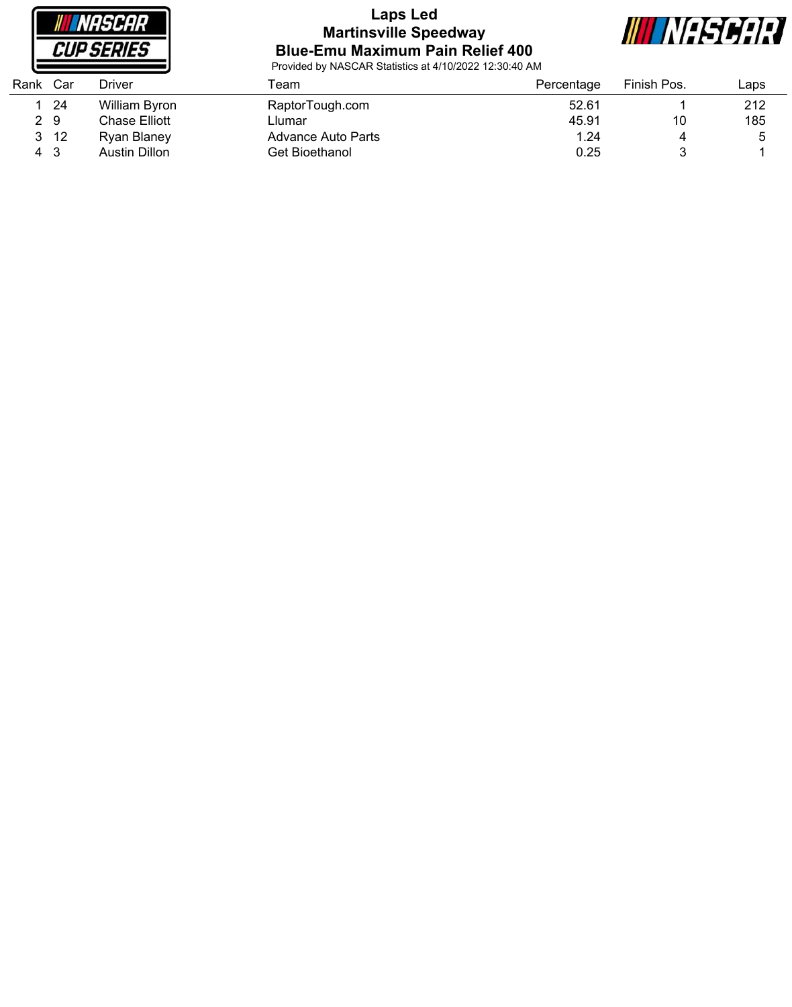

# **Laps Led Martinsville Speedway Blue-Emu Maximum Pain Relief 400**



| Rank | Car | Driver        | ēam                | Percentage | Finish Pos. | $\mathsf{L}$ aps |
|------|-----|---------------|--------------------|------------|-------------|------------------|
|      | 24  | William Byron | RaptorTough.com    | 52.61      |             | 212              |
| 2 9  |     | Chase Elliott | Llumar             | 45.91      | 10          | 185              |
| 3.   | -12 | Ryan Blaney   | Advance Auto Parts | 1.24       |             | ა                |
| 4    | 3   | Austin Dillon | Get Bioethanol     | 0.25       |             |                  |
|      |     |               |                    |            |             |                  |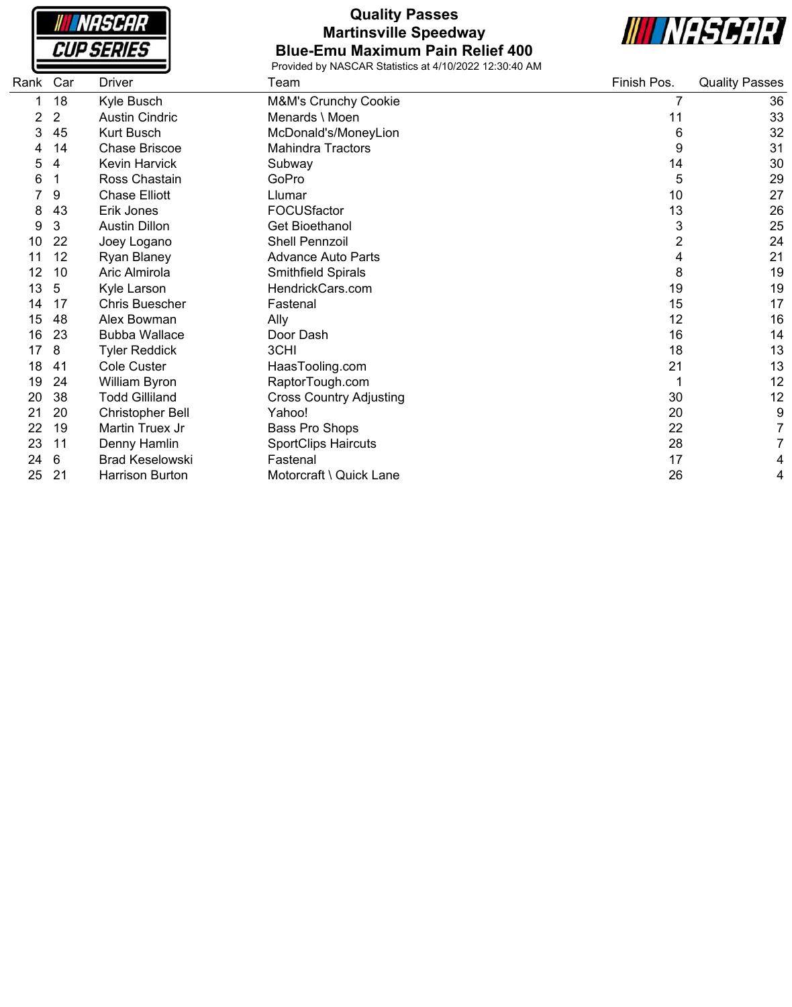| NASCAR                   |  |
|--------------------------|--|
| <i><b>CUP SERIES</b></i> |  |

### **Quality Passes Martinsville Speedway Blue-Emu Maximum Pain Relief 400**



| Rank<br>Car | Driver                  | Team                           | Finish Pos. | <b>Quality Passes</b> |
|-------------|-------------------------|--------------------------------|-------------|-----------------------|
| 18          | Kyle Busch              | M&M's Crunchy Cookie           | 7           | 36                    |
| 2           | <b>Austin Cindric</b>   | Menards \ Moen                 | 11          | 33                    |
| 45          | <b>Kurt Busch</b>       | McDonald's/MoneyLion           | 6           | 32                    |
| 14          | <b>Chase Briscoe</b>    | <b>Mahindra Tractors</b>       | 9           | 31                    |
| 4           | <b>Kevin Harvick</b>    | Subway                         | 14          | 30                    |
| 1           | Ross Chastain           | GoPro                          | 5           | 29                    |
| 9           | <b>Chase Elliott</b>    | Llumar                         | 10          | 27                    |
| 43          | Erik Jones              | FOCUSfactor                    | 13          | 26                    |
| 3           | <b>Austin Dillon</b>    | <b>Get Bioethanol</b>          | 3           | 25                    |
| 22          | Joey Logano             | <b>Shell Pennzoil</b>          | 2           | 24                    |
| 12          | Ryan Blaney             | <b>Advance Auto Parts</b>      | 4           | 21                    |
| 10          | Aric Almirola           | Smithfield Spirals             | 8           | 19                    |
| 5           | Kyle Larson             | HendrickCars.com               | 19          | 19                    |
| 17          | Chris Buescher          | Fastenal                       | 15          | 17                    |
| 48          | Alex Bowman             | Ally                           | 12          | 16                    |
| 23          | <b>Bubba Wallace</b>    | Door Dash                      | 16          | 14                    |
| 8           | <b>Tyler Reddick</b>    | 3CHI                           | 18          | 13                    |
| 41          | <b>Cole Custer</b>      | HaasTooling.com                | 21          | 13                    |
| 24          | William Byron           | RaptorTough.com                |             | 12                    |
| 38          | <b>Todd Gilliland</b>   | <b>Cross Country Adjusting</b> | 30          | 12                    |
| 20          | <b>Christopher Bell</b> | Yahoo!                         | 20          | 9                     |
| 19          | Martin Truex Jr         | Bass Pro Shops                 | 22          | 7                     |
| 11          | Denny Hamlin            | <b>SportClips Haircuts</b>     | 28          | 7                     |
| 6           | <b>Brad Keselowski</b>  | Fastenal                       | 17          | 4                     |
| 21          | Harrison Burton         | Motorcraft \ Quick Lane        | 26          | 4                     |
|             |                         |                                |             |                       |